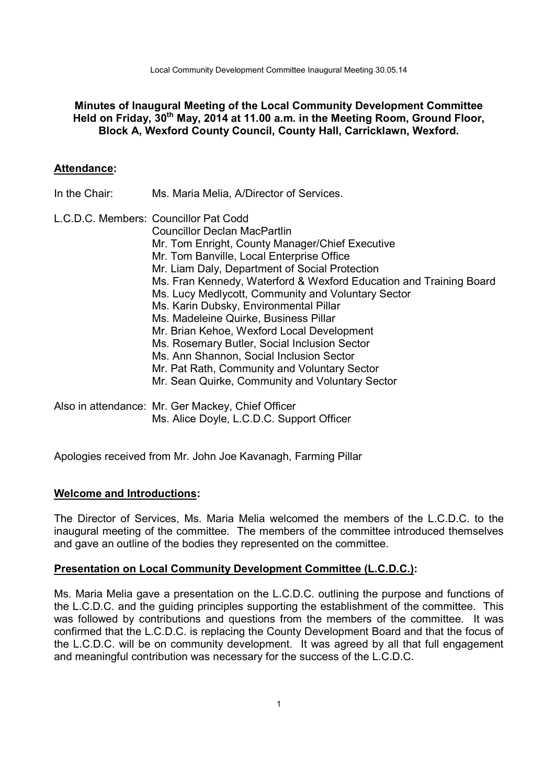Local Community Development Committee Inaugural Meeting 30.05.14

## **Minutes of Inaugural Meeting of the Local Community Development Committee Held on Friday, 30th May, 2014 at 11.00 a.m. in the Meeting Room, Ground Floor, Block A, Wexford County Council, County Hall, Carricklawn, Wexford.**

### **Attendance:**

In the Chair: Ms. Maria Melia, A/Director of Services.

L.C.D.C. Members: Councillor Pat Codd Councillor Declan MacPartlin Mr. Tom Enright, County Manager/Chief Executive Mr. Tom Banville, Local Enterprise Office Mr. Liam Daly, Department of Social Protection Ms. Fran Kennedy, Waterford & Wexford Education and Training Board Ms. Lucy Medlycott, Community and Voluntary Sector Ms. Karin Dubsky, Environmental Pillar Ms. Madeleine Quirke, Business Pillar Mr. Brian Kehoe, Wexford Local Development Ms. Rosemary Butler, Social Inclusion Sector Ms. Ann Shannon, Social Inclusion Sector Mr. Pat Rath, Community and Voluntary Sector Mr. Sean Quirke, Community and Voluntary Sector

Also in attendance: Mr. Ger Mackey, Chief Officer Ms. Alice Doyle, L.C.D.C. Support Officer

Apologies received from Mr. John Joe Kavanagh, Farming Pillar

## **Welcome and Introductions:**

The Director of Services, Ms. Maria Melia welcomed the members of the L.C.D.C. to the inaugural meeting of the committee. The members of the committee introduced themselves and gave an outline of the bodies they represented on the committee.

### **Presentation on Local Community Development Committee (L.C.D.C.):**

Ms. Maria Melia gave a presentation on the L.C.D.C. outlining the purpose and functions of the L.C.D.C. and the guiding principles supporting the establishment of the committee. This was followed by contributions and questions from the members of the committee. It was confirmed that the L.C.D.C. is replacing the County Development Board and that the focus of the L.C.D.C. will be on community development. It was agreed by all that full engagement and meaningful contribution was necessary for the success of the L.C.D.C.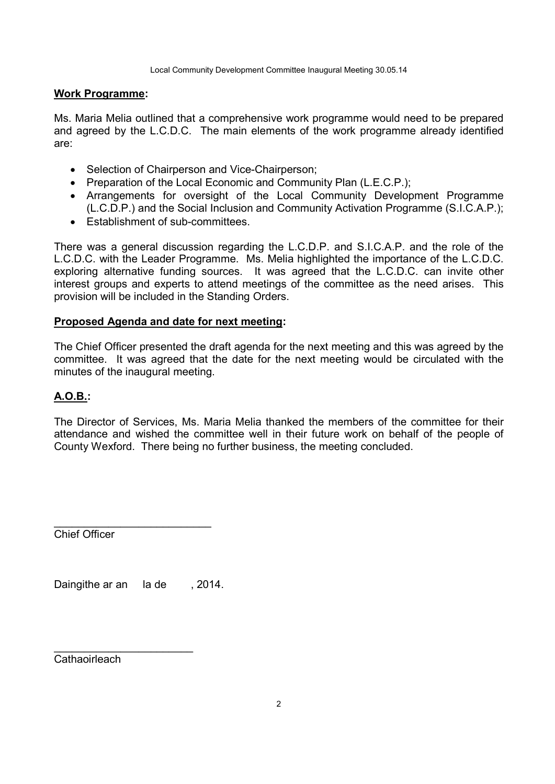### **Work Programme:**

Ms. Maria Melia outlined that a comprehensive work programme would need to be prepared and agreed by the L.C.D.C. The main elements of the work programme already identified are:

- Selection of Chairperson and Vice-Chairperson;
- Preparation of the Local Economic and Community Plan (L.E.C.P.);
- Arrangements for oversight of the Local Community Development Programme (L.C.D.P.) and the Social Inclusion and Community Activation Programme (S.I.C.A.P.);
- **Establishment of sub-committees**

There was a general discussion regarding the L.C.D.P. and S.I.C.A.P. and the role of the L.C.D.C. with the Leader Programme. Ms. Melia highlighted the importance of the L.C.D.C. exploring alternative funding sources. It was agreed that the L.C.D.C. can invite other interest groups and experts to attend meetings of the committee as the need arises. This provision will be included in the Standing Orders.

### **Proposed Agenda and date for next meeting:**

The Chief Officer presented the draft agenda for the next meeting and this was agreed by the committee. It was agreed that the date for the next meeting would be circulated with the minutes of the inaugural meeting.

## **A.O.B.:**

The Director of Services, Ms. Maria Melia thanked the members of the committee for their attendance and wished the committee well in their future work on behalf of the people of County Wexford. There being no further business, the meeting concluded.

Chief Officer

Daingithe ar an la de , 2014.

\_\_\_\_\_\_\_\_\_\_\_\_\_\_\_\_\_\_\_\_\_\_\_\_\_\_

\_\_\_\_\_\_\_\_\_\_\_\_\_\_\_\_\_\_\_\_\_\_\_ Cathaoirleach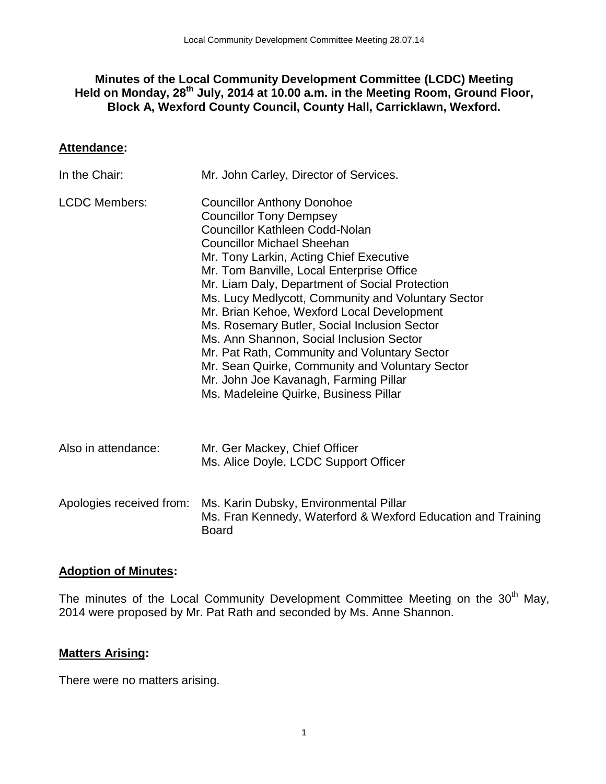## **Minutes of the Local Community Development Committee (LCDC) Meeting Held on Monday, 28th July, 2014 at 10.00 a.m. in the Meeting Room, Ground Floor, Block A, Wexford County Council, County Hall, Carricklawn, Wexford.**

## **Attendance:**

| In the Chair:            | Mr. John Carley, Director of Services.                                                                                                                                                                                                                                                                                                                                                                                                                                                                                                                                                                                                                                           |
|--------------------------|----------------------------------------------------------------------------------------------------------------------------------------------------------------------------------------------------------------------------------------------------------------------------------------------------------------------------------------------------------------------------------------------------------------------------------------------------------------------------------------------------------------------------------------------------------------------------------------------------------------------------------------------------------------------------------|
| <b>LCDC Members:</b>     | <b>Councillor Anthony Donohoe</b><br><b>Councillor Tony Dempsey</b><br><b>Councillor Kathleen Codd-Nolan</b><br><b>Councillor Michael Sheehan</b><br>Mr. Tony Larkin, Acting Chief Executive<br>Mr. Tom Banville, Local Enterprise Office<br>Mr. Liam Daly, Department of Social Protection<br>Ms. Lucy Medlycott, Community and Voluntary Sector<br>Mr. Brian Kehoe, Wexford Local Development<br>Ms. Rosemary Butler, Social Inclusion Sector<br>Ms. Ann Shannon, Social Inclusion Sector<br>Mr. Pat Rath, Community and Voluntary Sector<br>Mr. Sean Quirke, Community and Voluntary Sector<br>Mr. John Joe Kavanagh, Farming Pillar<br>Ms. Madeleine Quirke, Business Pillar |
| Also in attendance:      | Mr. Ger Mackey, Chief Officer<br>Ms. Alice Doyle, LCDC Support Officer                                                                                                                                                                                                                                                                                                                                                                                                                                                                                                                                                                                                           |
| Apologies received from: | Ms. Karin Dubsky, Environmental Pillar<br>Ms. Fran Kennedy, Waterford & Wexford Education and Training<br><b>Board</b>                                                                                                                                                                                                                                                                                                                                                                                                                                                                                                                                                           |

## **Adoption of Minutes:**

The minutes of the Local Community Development Committee Meeting on the 30<sup>th</sup> May, 2014 were proposed by Mr. Pat Rath and seconded by Ms. Anne Shannon.

## **Matters Arising:**

There were no matters arising.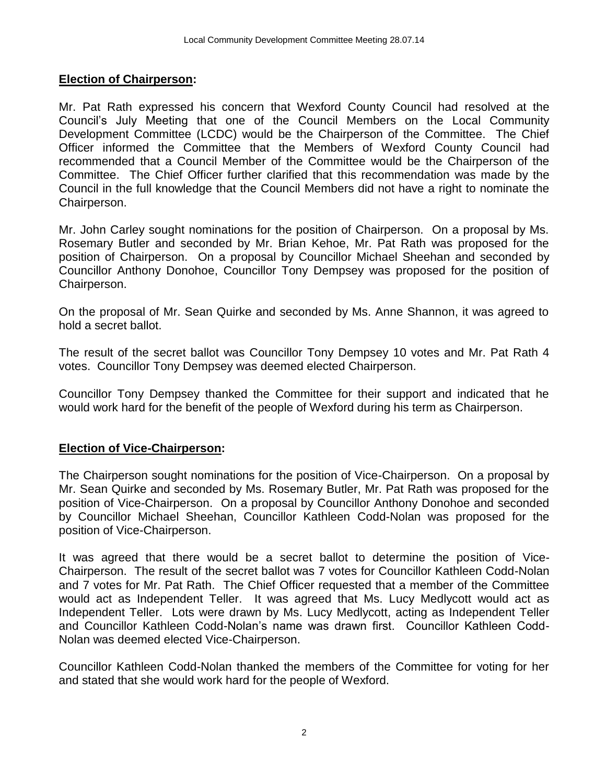## **Election of Chairperson:**

Mr. Pat Rath expressed his concern that Wexford County Council had resolved at the Council's July Meeting that one of the Council Members on the Local Community Development Committee (LCDC) would be the Chairperson of the Committee. The Chief Officer informed the Committee that the Members of Wexford County Council had recommended that a Council Member of the Committee would be the Chairperson of the Committee. The Chief Officer further clarified that this recommendation was made by the Council in the full knowledge that the Council Members did not have a right to nominate the Chairperson.

Mr. John Carley sought nominations for the position of Chairperson. On a proposal by Ms. Rosemary Butler and seconded by Mr. Brian Kehoe, Mr. Pat Rath was proposed for the position of Chairperson. On a proposal by Councillor Michael Sheehan and seconded by Councillor Anthony Donohoe, Councillor Tony Dempsey was proposed for the position of Chairperson.

On the proposal of Mr. Sean Quirke and seconded by Ms. Anne Shannon, it was agreed to hold a secret ballot.

The result of the secret ballot was Councillor Tony Dempsey 10 votes and Mr. Pat Rath 4 votes. Councillor Tony Dempsey was deemed elected Chairperson.

Councillor Tony Dempsey thanked the Committee for their support and indicated that he would work hard for the benefit of the people of Wexford during his term as Chairperson.

## **Election of Vice-Chairperson:**

The Chairperson sought nominations for the position of Vice-Chairperson. On a proposal by Mr. Sean Quirke and seconded by Ms. Rosemary Butler, Mr. Pat Rath was proposed for the position of Vice-Chairperson. On a proposal by Councillor Anthony Donohoe and seconded by Councillor Michael Sheehan, Councillor Kathleen Codd-Nolan was proposed for the position of Vice-Chairperson.

It was agreed that there would be a secret ballot to determine the position of Vice-Chairperson. The result of the secret ballot was 7 votes for Councillor Kathleen Codd-Nolan and 7 votes for Mr. Pat Rath. The Chief Officer requested that a member of the Committee would act as Independent Teller. It was agreed that Ms. Lucy Medlycott would act as Independent Teller. Lots were drawn by Ms. Lucy Medlycott, acting as Independent Teller and Councillor Kathleen Codd-Nolan's name was drawn first. Councillor Kathleen Codd-Nolan was deemed elected Vice-Chairperson.

Councillor Kathleen Codd-Nolan thanked the members of the Committee for voting for her and stated that she would work hard for the people of Wexford.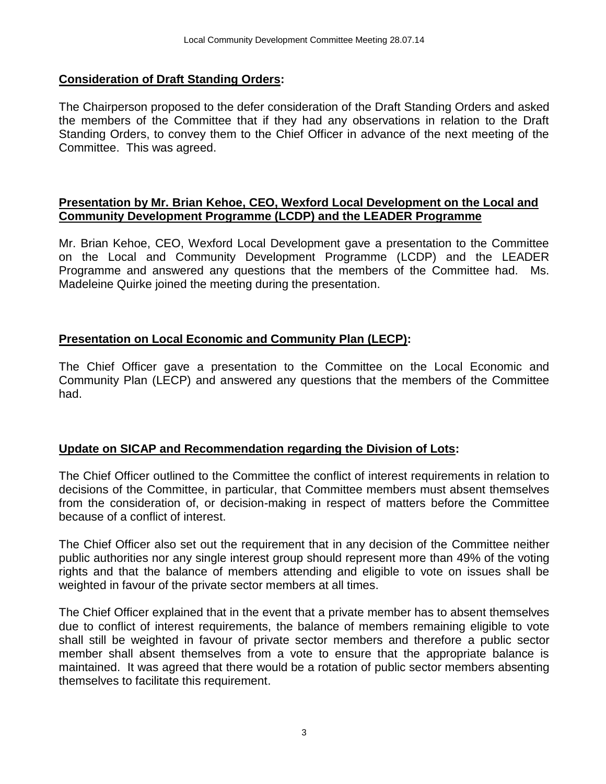## **Consideration of Draft Standing Orders:**

The Chairperson proposed to the defer consideration of the Draft Standing Orders and asked the members of the Committee that if they had any observations in relation to the Draft Standing Orders, to convey them to the Chief Officer in advance of the next meeting of the Committee. This was agreed.

## **Presentation by Mr. Brian Kehoe, CEO, Wexford Local Development on the Local and Community Development Programme (LCDP) and the LEADER Programme**

Mr. Brian Kehoe, CEO, Wexford Local Development gave a presentation to the Committee on the Local and Community Development Programme (LCDP) and the LEADER Programme and answered any questions that the members of the Committee had. Ms. Madeleine Quirke joined the meeting during the presentation.

## **Presentation on Local Economic and Community Plan (LECP):**

The Chief Officer gave a presentation to the Committee on the Local Economic and Community Plan (LECP) and answered any questions that the members of the Committee had.

## **Update on SICAP and Recommendation regarding the Division of Lots:**

The Chief Officer outlined to the Committee the conflict of interest requirements in relation to decisions of the Committee, in particular, that Committee members must absent themselves from the consideration of, or decision-making in respect of matters before the Committee because of a conflict of interest.

The Chief Officer also set out the requirement that in any decision of the Committee neither public authorities nor any single interest group should represent more than 49% of the voting rights and that the balance of members attending and eligible to vote on issues shall be weighted in favour of the private sector members at all times.

The Chief Officer explained that in the event that a private member has to absent themselves due to conflict of interest requirements, the balance of members remaining eligible to vote shall still be weighted in favour of private sector members and therefore a public sector member shall absent themselves from a vote to ensure that the appropriate balance is maintained. It was agreed that there would be a rotation of public sector members absenting themselves to facilitate this requirement.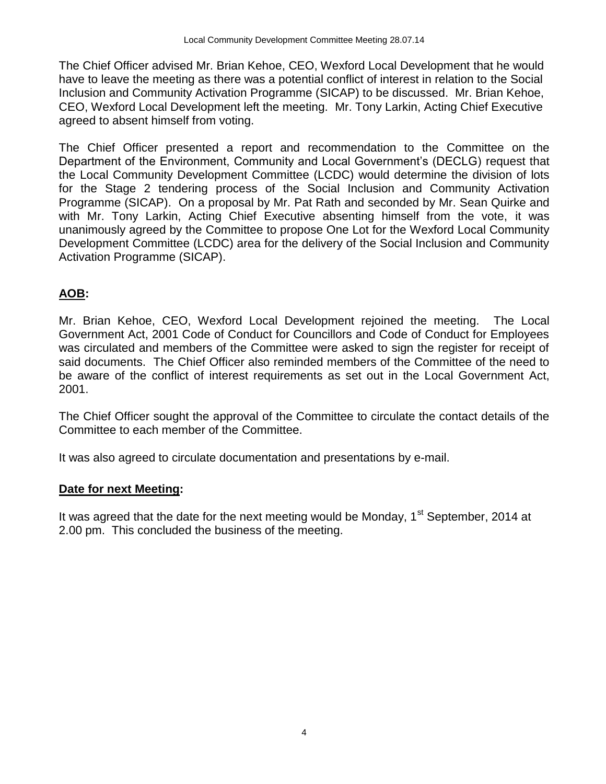The Chief Officer advised Mr. Brian Kehoe, CEO, Wexford Local Development that he would have to leave the meeting as there was a potential conflict of interest in relation to the Social Inclusion and Community Activation Programme (SICAP) to be discussed. Mr. Brian Kehoe, CEO, Wexford Local Development left the meeting. Mr. Tony Larkin, Acting Chief Executive agreed to absent himself from voting.

The Chief Officer presented a report and recommendation to the Committee on the Department of the Environment, Community and Local Government's (DECLG) request that the Local Community Development Committee (LCDC) would determine the division of lots for the Stage 2 tendering process of the Social Inclusion and Community Activation Programme (SICAP). On a proposal by Mr. Pat Rath and seconded by Mr. Sean Quirke and with Mr. Tony Larkin, Acting Chief Executive absenting himself from the vote, it was unanimously agreed by the Committee to propose One Lot for the Wexford Local Community Development Committee (LCDC) area for the delivery of the Social Inclusion and Community Activation Programme (SICAP).

## **AOB:**

Mr. Brian Kehoe, CEO, Wexford Local Development rejoined the meeting. The Local Government Act, 2001 Code of Conduct for Councillors and Code of Conduct for Employees was circulated and members of the Committee were asked to sign the register for receipt of said documents. The Chief Officer also reminded members of the Committee of the need to be aware of the conflict of interest requirements as set out in the Local Government Act, 2001.

The Chief Officer sought the approval of the Committee to circulate the contact details of the Committee to each member of the Committee.

It was also agreed to circulate documentation and presentations by e-mail.

## **Date for next Meeting:**

It was agreed that the date for the next meeting would be Monday,  $1<sup>st</sup>$  September, 2014 at 2.00 pm. This concluded the business of the meeting.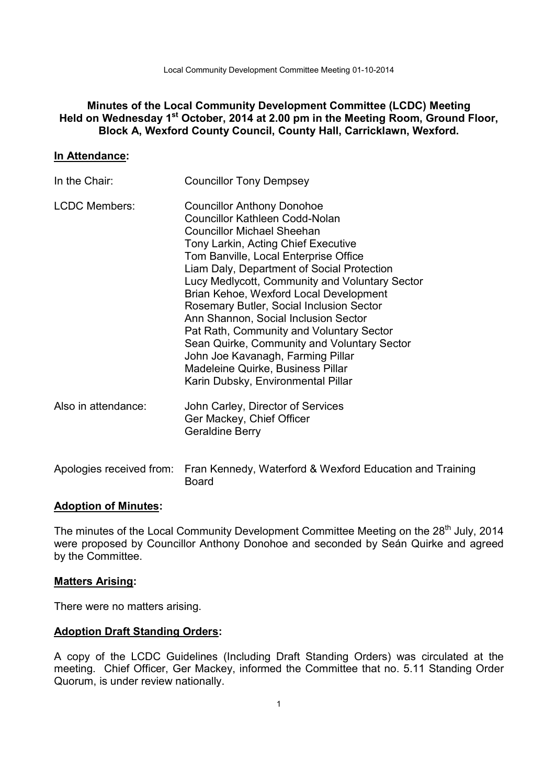Local Community Development Committee Meeting 01-10-2014

### **Minutes of the Local Community Development Committee (LCDC) Meeting Held on Wednesday 1st October, 2014 at 2.00 pm in the Meeting Room, Ground Floor, Block A, Wexford County Council, County Hall, Carricklawn, Wexford.**

### **In Attendance:**

| In the Chair:        | <b>Councillor Tony Dempsey</b>                                                                                                                                                                                                                                                                                                                                                                                                                                                                                                                                                                                                           |
|----------------------|------------------------------------------------------------------------------------------------------------------------------------------------------------------------------------------------------------------------------------------------------------------------------------------------------------------------------------------------------------------------------------------------------------------------------------------------------------------------------------------------------------------------------------------------------------------------------------------------------------------------------------------|
| <b>LCDC Members:</b> | <b>Councillor Anthony Donohoe</b><br><b>Councillor Kathleen Codd-Nolan</b><br><b>Councillor Michael Sheehan</b><br>Tony Larkin, Acting Chief Executive<br>Tom Banville, Local Enterprise Office<br>Liam Daly, Department of Social Protection<br>Lucy Medlycott, Community and Voluntary Sector<br>Brian Kehoe, Wexford Local Development<br>Rosemary Butler, Social Inclusion Sector<br>Ann Shannon, Social Inclusion Sector<br>Pat Rath, Community and Voluntary Sector<br>Sean Quirke, Community and Voluntary Sector<br>John Joe Kavanagh, Farming Pillar<br>Madeleine Quirke, Business Pillar<br>Karin Dubsky, Environmental Pillar |
| Also in attendance:  | John Carley, Director of Services<br>Ger Mackey, Chief Officer<br><b>Geraldine Berry</b>                                                                                                                                                                                                                                                                                                                                                                                                                                                                                                                                                 |
|                      | Apologies received from: Fran Kennedy, Waterford & Wexford Education and Training                                                                                                                                                                                                                                                                                                                                                                                                                                                                                                                                                        |

Board

# **Adoption of Minutes:**

The minutes of the Local Community Development Committee Meeting on the 28<sup>th</sup> July, 2014 were proposed by Councillor Anthony Donohoe and seconded by Seán Quirke and agreed by the Committee.

#### **Matters Arising:**

There were no matters arising.

### **Adoption Draft Standing Orders:**

A copy of the LCDC Guidelines (Including Draft Standing Orders) was circulated at the meeting. Chief Officer, Ger Mackey, informed the Committee that no. 5.11 Standing Order Quorum, is under review nationally.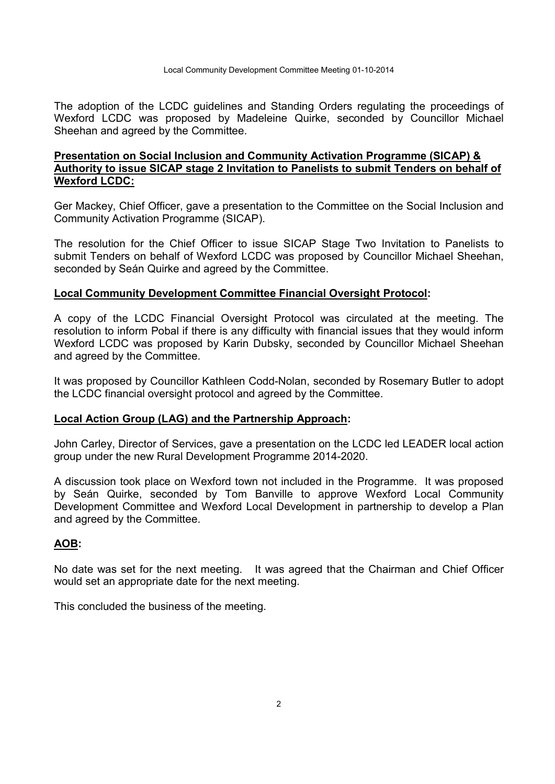The adoption of the LCDC guidelines and Standing Orders regulating the proceedings of Wexford LCDC was proposed by Madeleine Quirke, seconded by Councillor Michael Sheehan and agreed by the Committee.

## **Presentation on Social Inclusion and Community Activation Programme (SICAP) & Authority to issue SICAP stage 2 Invitation to Panelists to submit Tenders on behalf of Wexford LCDC:**

Ger Mackey, Chief Officer, gave a presentation to the Committee on the Social Inclusion and Community Activation Programme (SICAP).

The resolution for the Chief Officer to issue SICAP Stage Two Invitation to Panelists to submit Tenders on behalf of Wexford LCDC was proposed by Councillor Michael Sheehan, seconded by Seán Quirke and agreed by the Committee.

### **Local Community Development Committee Financial Oversight Protocol:**

A copy of the LCDC Financial Oversight Protocol was circulated at the meeting. The resolution to inform Pobal if there is any difficulty with financial issues that they would inform Wexford LCDC was proposed by Karin Dubsky, seconded by Councillor Michael Sheehan and agreed by the Committee.

It was proposed by Councillor Kathleen Codd-Nolan, seconded by Rosemary Butler to adopt the LCDC financial oversight protocol and agreed by the Committee.

### **Local Action Group (LAG) and the Partnership Approach:**

John Carley, Director of Services, gave a presentation on the LCDC led LEADER local action group under the new Rural Development Programme 2014-2020.

A discussion took place on Wexford town not included in the Programme. It was proposed by Seán Quirke, seconded by Tom Banville to approve Wexford Local Community Development Committee and Wexford Local Development in partnership to develop a Plan and agreed by the Committee.

### **AOB:**

No date was set for the next meeting. It was agreed that the Chairman and Chief Officer would set an appropriate date for the next meeting.

This concluded the business of the meeting.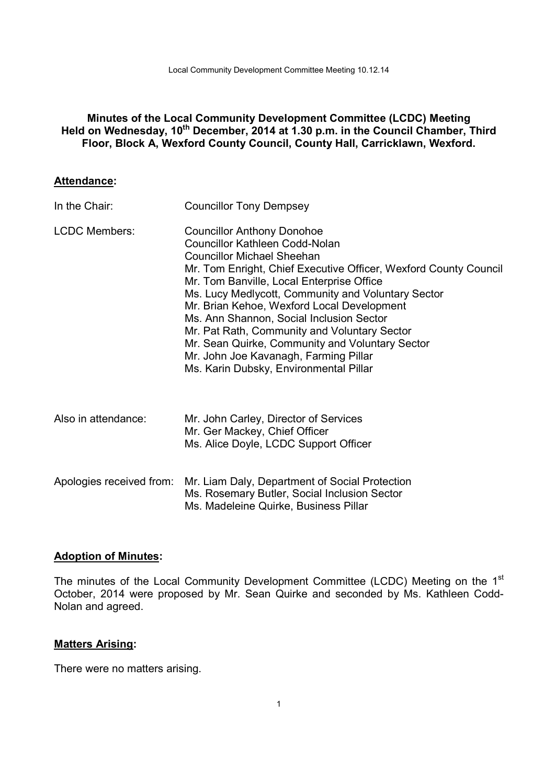## **Minutes of the Local Community Development Committee (LCDC) Meeting**  Held on Wednesday, 10<sup>th</sup> December, 2014 at 1.30 p.m. in the Council Chamber, Third **Floor, Block A, Wexford County Council, County Hall, Carricklawn, Wexford.**

### **Attendance:**

| In the Chair:            | <b>Councillor Tony Dempsey</b>                                                                                                                                                                                                                                                                                                                                                                                                                                                                                                                                         |
|--------------------------|------------------------------------------------------------------------------------------------------------------------------------------------------------------------------------------------------------------------------------------------------------------------------------------------------------------------------------------------------------------------------------------------------------------------------------------------------------------------------------------------------------------------------------------------------------------------|
| <b>LCDC Members:</b>     | <b>Councillor Anthony Donohoe</b><br><b>Councillor Kathleen Codd-Nolan</b><br><b>Councillor Michael Sheehan</b><br>Mr. Tom Enright, Chief Executive Officer, Wexford County Council<br>Mr. Tom Banville, Local Enterprise Office<br>Ms. Lucy Medlycott, Community and Voluntary Sector<br>Mr. Brian Kehoe, Wexford Local Development<br>Ms. Ann Shannon, Social Inclusion Sector<br>Mr. Pat Rath, Community and Voluntary Sector<br>Mr. Sean Quirke, Community and Voluntary Sector<br>Mr. John Joe Kavanagh, Farming Pillar<br>Ms. Karin Dubsky, Environmental Pillar |
| Also in attendance:      | Mr. John Carley, Director of Services<br>Mr. Ger Mackey, Chief Officer<br>Ms. Alice Doyle, LCDC Support Officer                                                                                                                                                                                                                                                                                                                                                                                                                                                        |
| Apologies received from: | Mr. Liam Daly, Department of Social Protection<br>Ms. Rosemary Butler, Social Inclusion Sector<br>Ms. Madeleine Quirke, Business Pillar                                                                                                                                                                                                                                                                                                                                                                                                                                |

## **Adoption of Minutes:**

The minutes of the Local Community Development Committee (LCDC) Meeting on the 1<sup>st</sup> October, 2014 were proposed by Mr. Sean Quirke and seconded by Ms. Kathleen Codd-Nolan and agreed.

### **Matters Arising:**

There were no matters arising.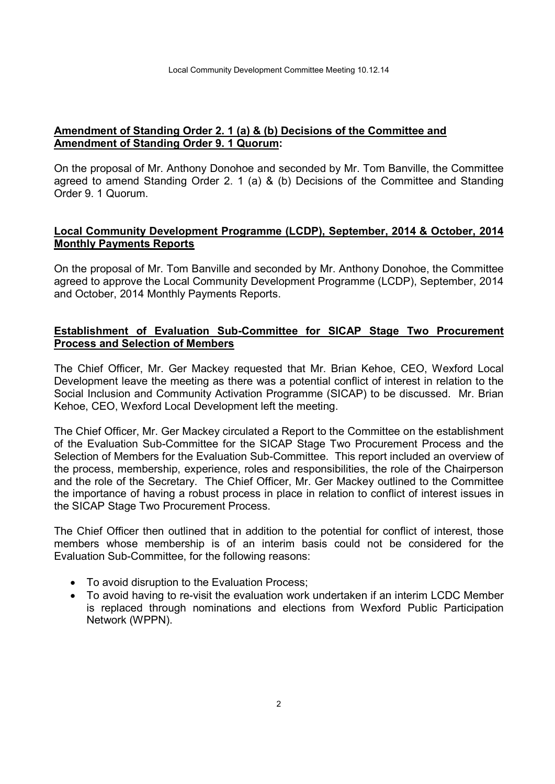## **Amendment of Standing Order 2. 1 (a) & (b) Decisions of the Committee and Amendment of Standing Order 9. 1 Quorum:**

On the proposal of Mr. Anthony Donohoe and seconded by Mr. Tom Banville, the Committee agreed to amend Standing Order 2. 1 (a) & (b) Decisions of the Committee and Standing Order 9. 1 Quorum.

## **Local Community Development Programme (LCDP), September, 2014 & October, 2014 Monthly Payments Reports**

On the proposal of Mr. Tom Banville and seconded by Mr. Anthony Donohoe, the Committee agreed to approve the Local Community Development Programme (LCDP), September, 2014 and October, 2014 Monthly Payments Reports.

## **Establishment of Evaluation Sub-Committee for SICAP Stage Two Procurement Process and Selection of Members**

The Chief Officer, Mr. Ger Mackey requested that Mr. Brian Kehoe, CEO, Wexford Local Development leave the meeting as there was a potential conflict of interest in relation to the Social Inclusion and Community Activation Programme (SICAP) to be discussed. Mr. Brian Kehoe, CEO, Wexford Local Development left the meeting.

The Chief Officer, Mr. Ger Mackey circulated a Report to the Committee on the establishment of the Evaluation Sub-Committee for the SICAP Stage Two Procurement Process and the Selection of Members for the Evaluation Sub-Committee. This report included an overview of the process, membership, experience, roles and responsibilities, the role of the Chairperson and the role of the Secretary. The Chief Officer, Mr. Ger Mackey outlined to the Committee the importance of having a robust process in place in relation to conflict of interest issues in the SICAP Stage Two Procurement Process.

The Chief Officer then outlined that in addition to the potential for conflict of interest, those members whose membership is of an interim basis could not be considered for the Evaluation Sub-Committee, for the following reasons:

- To avoid disruption to the Evaluation Process;
- To avoid having to re-visit the evaluation work undertaken if an interim LCDC Member is replaced through nominations and elections from Wexford Public Participation Network (WPPN).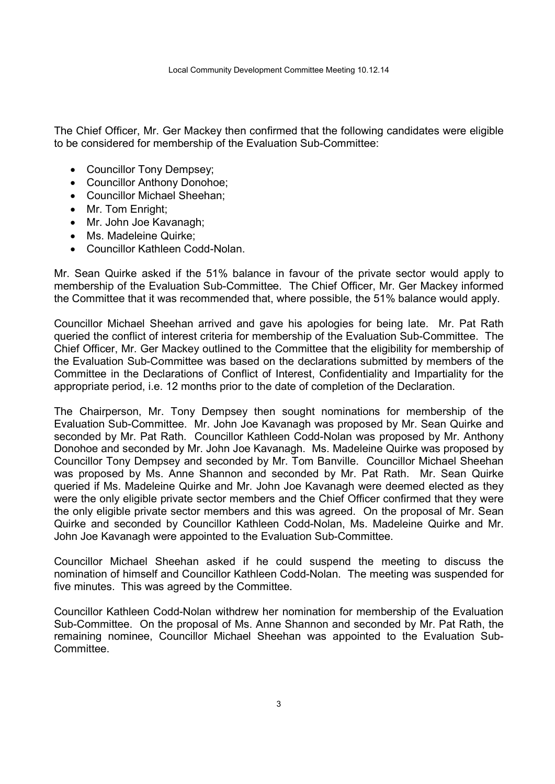The Chief Officer, Mr. Ger Mackey then confirmed that the following candidates were eligible to be considered for membership of the Evaluation Sub-Committee:

- Councillor Tony Dempsey;
- Councillor Anthony Donohoe;
- Councillor Michael Sheehan;
- Mr. Tom Enright:
- Mr. John Joe Kavanagh;
- Ms. Madeleine Quirke;
- Councillor Kathleen Codd-Nolan.

Mr. Sean Quirke asked if the 51% balance in favour of the private sector would apply to membership of the Evaluation Sub-Committee. The Chief Officer, Mr. Ger Mackey informed the Committee that it was recommended that, where possible, the 51% balance would apply.

Councillor Michael Sheehan arrived and gave his apologies for being late. Mr. Pat Rath queried the conflict of interest criteria for membership of the Evaluation Sub-Committee. The Chief Officer, Mr. Ger Mackey outlined to the Committee that the eligibility for membership of the Evaluation Sub-Committee was based on the declarations submitted by members of the Committee in the Declarations of Conflict of Interest, Confidentiality and Impartiality for the appropriate period, i.e. 12 months prior to the date of completion of the Declaration.

The Chairperson, Mr. Tony Dempsey then sought nominations for membership of the Evaluation Sub-Committee. Mr. John Joe Kavanagh was proposed by Mr. Sean Quirke and seconded by Mr. Pat Rath. Councillor Kathleen Codd-Nolan was proposed by Mr. Anthony Donohoe and seconded by Mr. John Joe Kavanagh. Ms. Madeleine Quirke was proposed by Councillor Tony Dempsey and seconded by Mr. Tom Banville. Councillor Michael Sheehan was proposed by Ms. Anne Shannon and seconded by Mr. Pat Rath. Mr. Sean Quirke queried if Ms. Madeleine Quirke and Mr. John Joe Kavanagh were deemed elected as they were the only eligible private sector members and the Chief Officer confirmed that they were the only eligible private sector members and this was agreed. On the proposal of Mr. Sean Quirke and seconded by Councillor Kathleen Codd-Nolan, Ms. Madeleine Quirke and Mr. John Joe Kavanagh were appointed to the Evaluation Sub-Committee.

Councillor Michael Sheehan asked if he could suspend the meeting to discuss the nomination of himself and Councillor Kathleen Codd-Nolan. The meeting was suspended for five minutes. This was agreed by the Committee.

Councillor Kathleen Codd-Nolan withdrew her nomination for membership of the Evaluation Sub-Committee. On the proposal of Ms. Anne Shannon and seconded by Mr. Pat Rath, the remaining nominee, Councillor Michael Sheehan was appointed to the Evaluation Sub-**Committee.**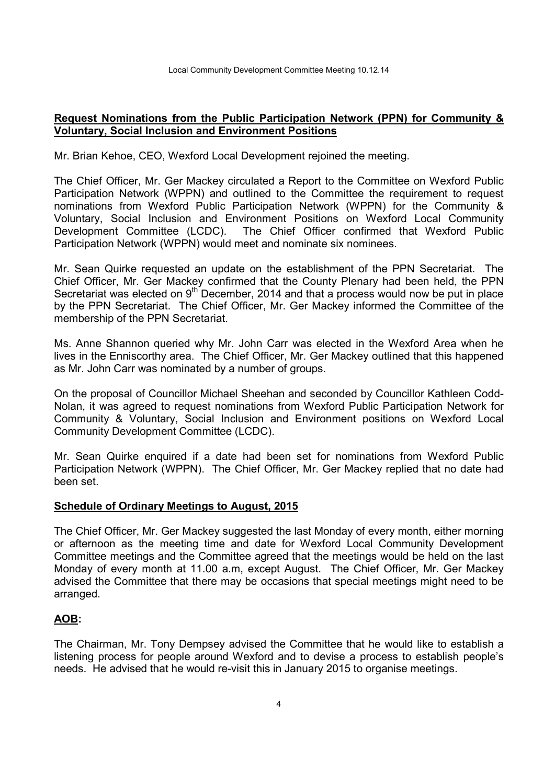### **Request Nominations from the Public Participation Network (PPN) for Community & Voluntary, Social Inclusion and Environment Positions**

Mr. Brian Kehoe, CEO, Wexford Local Development rejoined the meeting.

The Chief Officer, Mr. Ger Mackey circulated a Report to the Committee on Wexford Public Participation Network (WPPN) and outlined to the Committee the requirement to request nominations from Wexford Public Participation Network (WPPN) for the Community & Voluntary, Social Inclusion and Environment Positions on Wexford Local Community Development Committee (LCDC). The Chief Officer confirmed that Wexford Public Participation Network (WPPN) would meet and nominate six nominees.

Mr. Sean Quirke requested an update on the establishment of the PPN Secretariat. The Chief Officer, Mr. Ger Mackey confirmed that the County Plenary had been held, the PPN Secretariat was elected on  $9<sup>th</sup>$  December, 2014 and that a process would now be put in place by the PPN Secretariat. The Chief Officer, Mr. Ger Mackey informed the Committee of the membership of the PPN Secretariat.

Ms. Anne Shannon queried why Mr. John Carr was elected in the Wexford Area when he lives in the Enniscorthy area. The Chief Officer, Mr. Ger Mackey outlined that this happened as Mr. John Carr was nominated by a number of groups.

On the proposal of Councillor Michael Sheehan and seconded by Councillor Kathleen Codd-Nolan, it was agreed to request nominations from Wexford Public Participation Network for Community & Voluntary, Social Inclusion and Environment positions on Wexford Local Community Development Committee (LCDC).

Mr. Sean Quirke enquired if a date had been set for nominations from Wexford Public Participation Network (WPPN). The Chief Officer, Mr. Ger Mackey replied that no date had been set.

### **Schedule of Ordinary Meetings to August, 2015**

The Chief Officer, Mr. Ger Mackey suggested the last Monday of every month, either morning or afternoon as the meeting time and date for Wexford Local Community Development Committee meetings and the Committee agreed that the meetings would be held on the last Monday of every month at 11.00 a.m, except August. The Chief Officer, Mr. Ger Mackey advised the Committee that there may be occasions that special meetings might need to be arranged.

### **AOB:**

The Chairman, Mr. Tony Dempsey advised the Committee that he would like to establish a listening process for people around Wexford and to devise a process to establish people's needs. He advised that he would re-visit this in January 2015 to organise meetings.